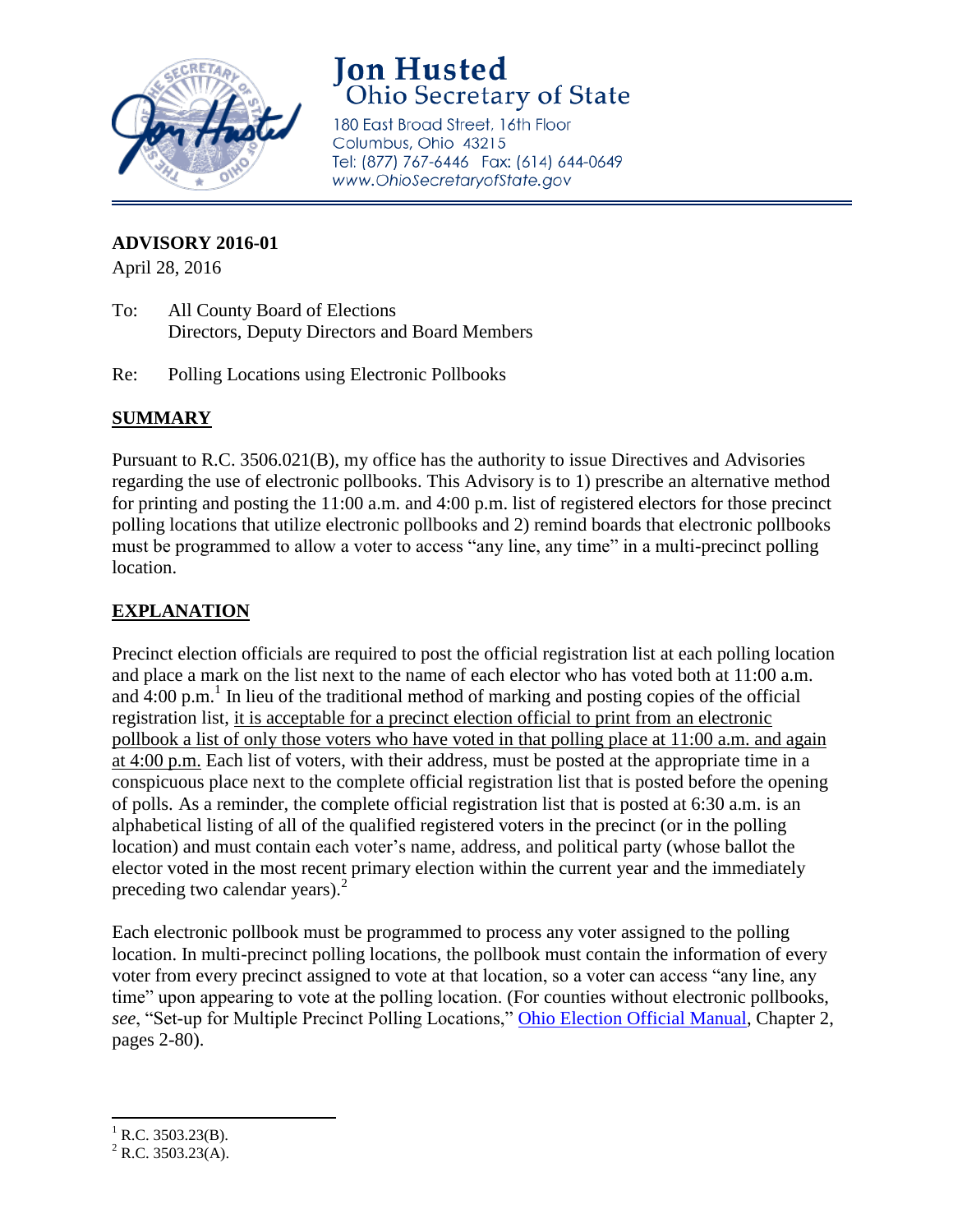

## **Jon Husted** Ohio Secretary of State

180 East Broad Street, 16th Floor Columbus, Ohio 43215 Tel: (877) 767-6446 Fax: (614) 644-0649 www.OhioSecretaryofState.gov

## **ADVISORY 2016-01**

April 28, 2016

- To: All County Board of Elections Directors, Deputy Directors and Board Members
- Re: Polling Locations using Electronic Pollbooks

## **SUMMARY**

Pursuant to R.C. 3506.021(B), my office has the authority to issue Directives and Advisories regarding the use of electronic pollbooks. This Advisory is to 1) prescribe an alternative method for printing and posting the 11:00 a.m. and 4:00 p.m. list of registered electors for those precinct polling locations that utilize electronic pollbooks and 2) remind boards that electronic pollbooks must be programmed to allow a voter to access "any line, any time" in a multi-precinct polling location.

## **EXPLANATION**

Precinct election officials are required to post the official registration list at each polling location and place a mark on the list next to the name of each elector who has voted both at 11:00 a.m. and  $4:00 \text{ p.m.}^1$  In lieu of the traditional method of marking and posting copies of the official registration list, it is acceptable for a precinct election official to print from an electronic pollbook a list of only those voters who have voted in that polling place at 11:00 a.m. and again at 4:00 p.m. Each list of voters, with their address, must be posted at the appropriate time in a conspicuous place next to the complete official registration list that is posted before the opening of polls. As a reminder, the complete official registration list that is posted at 6:30 a.m. is an alphabetical listing of all of the qualified registered voters in the precinct (or in the polling location) and must contain each voter's name, address, and political party (whose ballot the elector voted in the most recent primary election within the current year and the immediately preceding two calendar years).<sup>2</sup>

Each electronic pollbook must be programmed to process any voter assigned to the polling location. In multi-precinct polling locations, the pollbook must contain the information of every voter from every precinct assigned to vote at that location, so a voter can access "any line, any time" upon appearing to vote at the polling location. (For counties without electronic pollbooks, *see*, "Set-up for Multiple Precinct Polling Locations," [Ohio Election Official Manual,](http://www.sos.state.oh.us/sos/upload/elections/EOResources/general/2015EOM.pdf) Chapter 2, pages 2-80).

 $\overline{\phantom{a}}$  $^{1}$  R.C. 3503.23(B).

 $^{2}$  R.C. 3503.23(A).